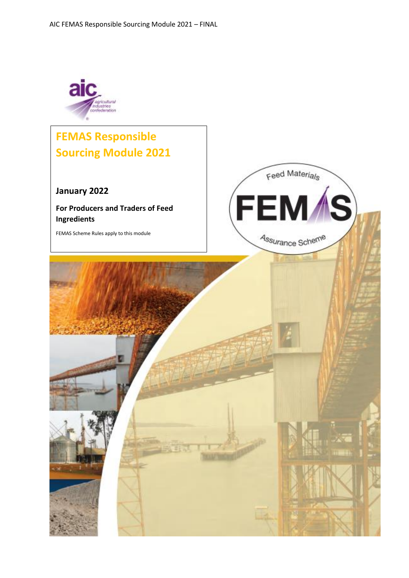

**FEMAS Responsible Sourcing Module 2021**

#### **January 2022**

**For Producers and Traders of Feed Ingredients**

FEMAS Scheme Rules apply to this module



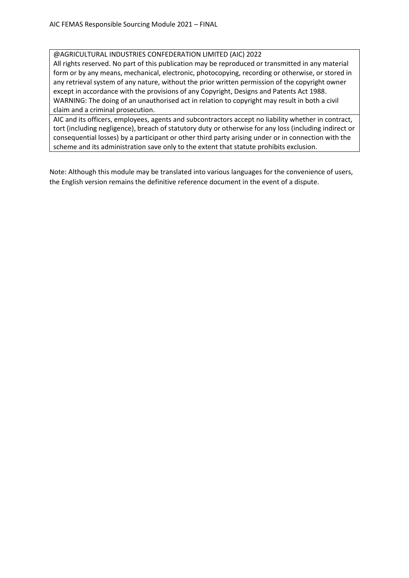#### @AGRICULTURAL INDUSTRIES CONFEDERATION LIMITED (AIC) 2022

All rights reserved. No part of this publication may be reproduced or transmitted in any material form or by any means, mechanical, electronic, photocopying, recording or otherwise, or stored in any retrieval system of any nature, without the prior written permission of the copyright owner except in accordance with the provisions of any Copyright, Designs and Patents Act 1988. WARNING: The doing of an unauthorised act in relation to copyright may result in both a civil claim and a criminal prosecution.

AIC and its officers, employees, agents and subcontractors accept no liability whether in contract, tort (including negligence), breach of statutory duty or otherwise for any loss (including indirect or consequential losses) by a participant or other third party arising under or in connection with the scheme and its administration save only to the extent that statute prohibits exclusion.

Note: Although this module may be translated into various languages for the convenience of users, the English version remains the definitive reference document in the event of a dispute.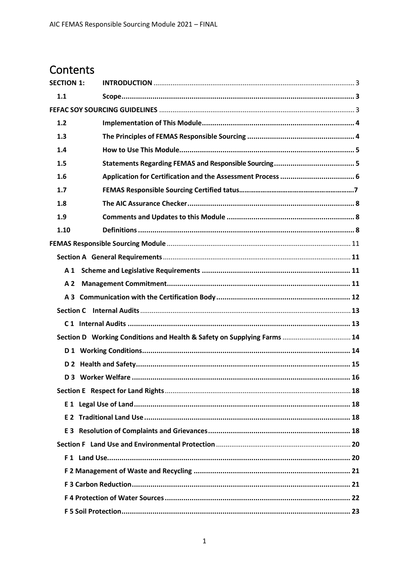## Contents

| <b>SECTION 1:</b> |                                                                         |
|-------------------|-------------------------------------------------------------------------|
| 1.1               |                                                                         |
|                   |                                                                         |
| 1.2               |                                                                         |
| 1.3               |                                                                         |
| 1.4               |                                                                         |
| 1.5               |                                                                         |
| 1.6               |                                                                         |
| 1.7               |                                                                         |
| 1.8               |                                                                         |
| 1.9               |                                                                         |
| 1.10              |                                                                         |
|                   |                                                                         |
|                   |                                                                         |
| A <sub>1</sub>    |                                                                         |
| A <sub>2</sub>    |                                                                         |
| A 3               |                                                                         |
|                   |                                                                         |
|                   |                                                                         |
|                   | Section D Working Conditions and Health & Safety on Supplying Farms  14 |
|                   |                                                                         |
|                   |                                                                         |
|                   |                                                                         |
|                   |                                                                         |
|                   |                                                                         |
|                   |                                                                         |
|                   |                                                                         |
|                   |                                                                         |
|                   |                                                                         |
|                   |                                                                         |
|                   |                                                                         |
|                   |                                                                         |
|                   |                                                                         |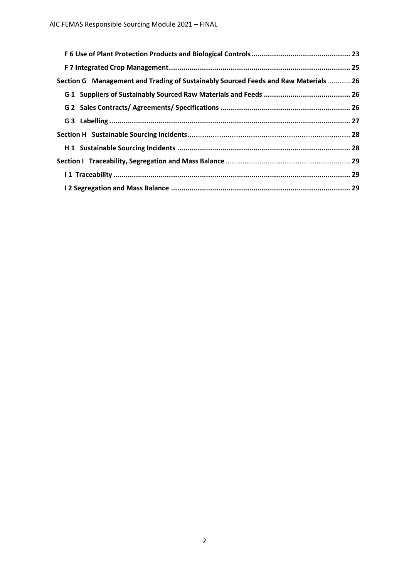| Section G Management and Trading of Sustainably Sourced Feeds and Raw Materials  26 |  |
|-------------------------------------------------------------------------------------|--|
|                                                                                     |  |
|                                                                                     |  |
|                                                                                     |  |
|                                                                                     |  |
|                                                                                     |  |
|                                                                                     |  |
|                                                                                     |  |
|                                                                                     |  |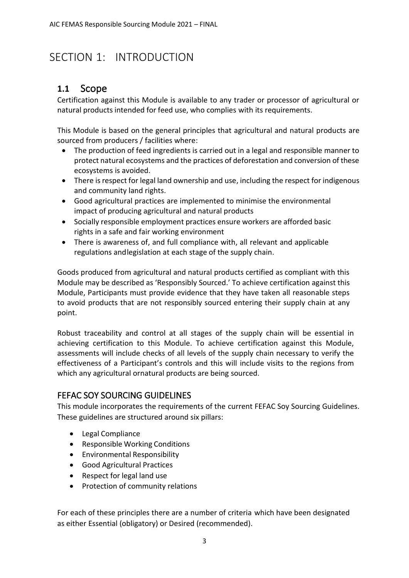# <span id="page-4-0"></span>SECTION 1: INTRODUCTION

#### <span id="page-4-1"></span>**1.1** Scope

Certification against this Module is available to any trader or processor of agricultural or natural products intended for feed use, who complies with its requirements.

This Module is based on the general principles that agricultural and natural products are sourced from producers / facilities where:

- The production of feed ingredients is carried out in a legal and responsible manner to protect natural ecosystems and the practices of deforestation and conversion of these ecosystems is avoided.
- There is respect for legal land ownership and use, including the respect for indigenous and community land rights.
- Good agricultural practices are implemented to minimise the environmental impact of producing agricultural and natural products
- Socially responsible employment practices ensure workers are afforded basic rights in a safe and fair working environment
- There is awareness of, and full compliance with, all relevant and applicable regulations and legislation at each stage of the supply chain.

Goods produced from agricultural and natural products certified as compliant with this Module may be described as 'Responsibly Sourced.' To achieve certification against this Module, Participants must provide evidence that they have taken all reasonable steps to avoid products that are not responsibly sourced entering their supply chain at any point.

Robust traceability and control at all stages of the supply chain will be essential in achieving certification to this Module. To achieve certification against this Module, assessments will include checks of all levels of the supply chain necessary to verify the effectiveness of a Participant's controls and this will include visits to the regions from which any agricultural ornatural products are being sourced.

#### <span id="page-4-2"></span>FEFAC SOY SOURCING GUIDELINES

This module incorporates the requirements of the current FEFAC Soy Sourcing Guidelines. These guidelines are structured around six pillars:

- Legal Compliance
- Responsible Working Conditions
- Environmental Responsibility
- Good Agricultural Practices
- Respect for legal land use
- Protection of community relations

For each of these principles there are a number of criteria which have been designated as either Essential (obligatory) or Desired (recommended).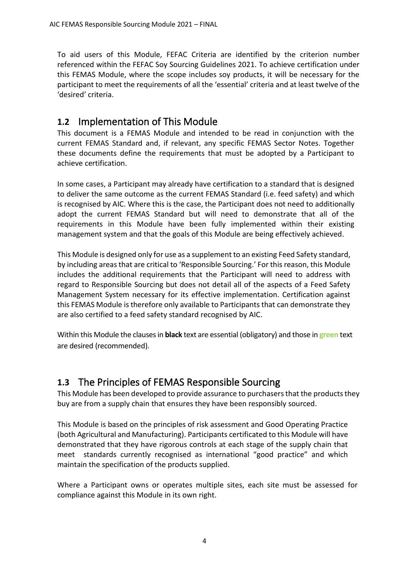To aid users of this Module, FEFAC Criteria are identified by the criterion number referenced within the FEFAC Soy Sourcing Guidelines 2021. To achieve certification under this FEMAS Module, where the scope includes soy products, it will be necessary for the participant to meet the requirements of all the 'essential' criteria and at least twelve of the 'desired' criteria.

#### <span id="page-5-0"></span>**1.2** Implementation of This Module

This document is a FEMAS Module and intended to be read in conjunction with the current FEMAS Standard and, if relevant, any specific FEMAS Sector Notes. Together these documents define the requirements that must be adopted by a Participant to achieve certification.

In some cases, a Participant may already have certification to a standard that is designed to deliver the same outcome as the current FEMAS Standard (i.e. feed safety) and which is recognised by AIC. Where this is the case, the Participant does not need to additionally adopt the current FEMAS Standard but will need to demonstrate that all of the requirements in this Module have been fully implemented within their existing management system and that the goals of this Module are being effectively achieved.

This Module is designed only for use as a supplement to an existing Feed Safety standard, by including areas that are critical to 'Responsible Sourcing.' For this reason, this Module includes the additional requirements that the Participant will need to address with regard to Responsible Sourcing but does not detail all of the aspects of a Feed Safety Management System necessary for its effective implementation. Certification against this FEMAS Module is therefore only available to Participants that can demonstrate they are also certified to a feed safety standard recognised by AIC.

Within this Module the clausesin **black** text are essential (obligatory) and those in **green** text are desired (recommended).

## <span id="page-5-1"></span>**1.3** The Principles of FEMAS Responsible Sourcing

This Module has been developed to provide assurance to purchasers that the products they buy are from a supply chain that ensures they have been responsibly sourced.

This Module is based on the principles of risk assessment and Good Operating Practice (both Agricultural and Manufacturing). Participants certificated to this Module will have demonstrated that they have rigorous controls at each stage of the supply chain that meet standards currently recognised as international "good practice" and which maintain the specification of the products supplied.

Where a Participant owns or operates multiple sites, each site must be assessed for compliance against this Module in its own right.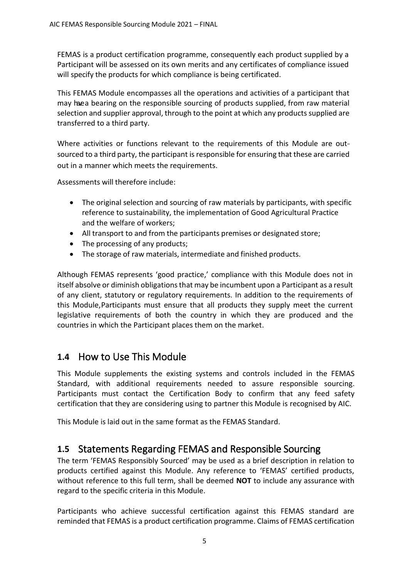FEMAS is a product certification programme, consequently each product supplied by a Participant will be assessed on its own merits and any certificates of compliance issued will specify the products for which compliance is being certificated.

This FEMAS Module encompasses all the operations and activities of a participant that may haea bearing on the responsible sourcing of products supplied, from raw material selection and supplier approval, through to the point at which any products supplied are transferred to a third party.

Where activities or functions relevant to the requirements of this Module are outsourced to a third party, the participant is responsible for ensuring that these are carried out in a manner which meets the requirements.

Assessments will therefore include:

- The original selection and sourcing of raw materials by participants, with specific reference to sustainability, the implementation of Good Agricultural Practice and the welfare of workers;
- All transport to and from the participants premises or designated store;
- The processing of any products;
- The storage of raw materials, intermediate and finished products.

Although FEMAS represents 'good practice,' compliance with this Module does not in itself absolve or diminish obligations that may be incumbent upon a Participant as a result of any client, statutory or regulatory requirements. In addition to the requirements of this Module,Participants must ensure that all products they supply meet the current legislative requirements of both the country in which they are produced and the countries in which the Participant places them on the market.

#### <span id="page-6-0"></span>**1.4** How to Use This Module

This Module supplements the existing systems and controls included in the FEMAS Standard, with additional requirements needed to assure responsible sourcing. Participants must contact the Certification Body to confirm that any feed safety certification that they are considering using to partner this Module is recognised by AIC.

This Module is laid out in the same format as the FEMAS Standard.

## <span id="page-6-1"></span>**1.5** Statements Regarding FEMAS and Responsible Sourcing

The term 'FEMAS Responsibly Sourced' may be used as a brief description in relation to products certified against this Module. Any reference to 'FEMAS' certified products, without reference to this full term, shall be deemed **NOT** to include any assurance with regard to the specific criteria in this Module.

Participants who achieve successful certification against this FEMAS standard are reminded that FEMAS is a product certification programme. Claims of FEMAS certification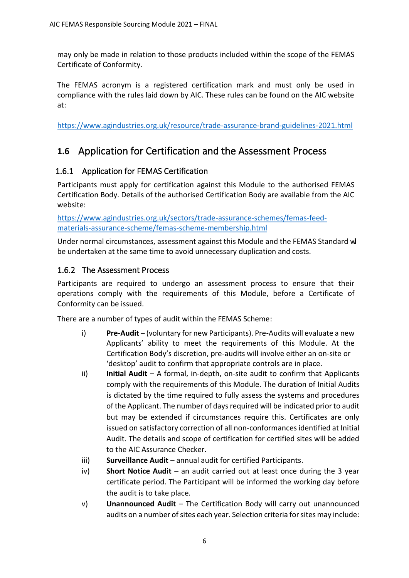may only be made in relation to those products included within the scope of the FEMAS Certificate of Conformity.

The FEMAS acronym is a registered certification mark and must only be used in compliance with the rules laid down by AIC. These rules can be found on the AIC website at:

<https://www.agindustries.org.uk/resource/trade-assurance-brand-guidelines-2021.html>

## <span id="page-7-0"></span>**1.6** Application for Certification and the Assessment Process

#### 1.6.1 Application for FEMAS Certification

Participants must apply for certification against this Module to the authorised FEMAS Certification Body. Details of the authorised Certification Body are available from the AIC website:

[https://www.agindustries.org.uk/sectors/trade-assurance-schemes/femas-feed](https://www.agindustries.org.uk/sectors/trade-assurance-schemes/femas-feed-materials-assurance-scheme/femas-scheme-membership.html)[materials-assurance-scheme/femas-scheme-membership.html](https://www.agindustries.org.uk/sectors/trade-assurance-schemes/femas-feed-materials-assurance-scheme/femas-scheme-membership.html)

Under normal circumstances, assessment against this Module and the FEMAS Standard w be undertaken at the same time to avoid unnecessary duplication and costs.

#### 1.6.2 The Assessment Process

Participants are required to undergo an assessment process to ensure that their operations comply with the requirements of this Module, before a Certificate of Conformity can be issued.

There are a number of types of audit within the FEMAS Scheme:

- i) **Pre-Audit** (voluntary for new Participants). Pre-Audits will evaluate a new Applicants' ability to meet the requirements of this Module. At the Certification Body's discretion, pre-audits will involve either an on-site or 'desktop' audit to confirm that appropriate controls are in place.
- ii) **Initial Audit**  A formal, in-depth, on-site audit to confirm that Applicants comply with the requirements of this Module. The duration of Initial Audits is dictated by the time required to fully assess the systems and procedures of the Applicant. The number of days required will be indicated prior to audit but may be extended if circumstances require this. Certificates are only issued on satisfactory correction of all non-conformances identified at Initial Audit. The details and scope of certification for certified sites will be added to the AIC Assurance Checker.
- iii) **Surveillance Audit**  annual audit for certified Participants.
- iv) **Short Notice Audit** an audit carried out at least once during the 3 year certificate period. The Participant will be informed the working day before the audit is to take place.
- v) **Unannounced Audit** The Certification Body will carry out unannounced audits on a number of sites each year. Selection criteria for sites may include: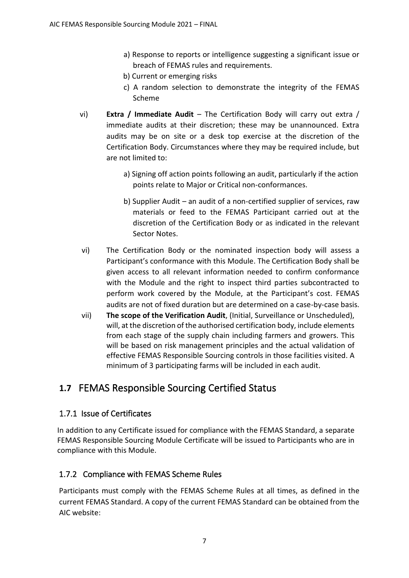- a) Response to reports or intelligence suggesting a significant issue or breach of FEMAS rules and requirements.
- b) Current or emerging risks
- c) A random selection to demonstrate the integrity of the FEMAS Scheme
- vi) **Extra / Immediate Audit** The Certification Body will carry out extra / immediate audits at their discretion; these may be unannounced. Extra audits may be on site or a desk top exercise at the discretion of the Certification Body. Circumstances where they may be required include, but are not limited to:
	- a) Signing off action points following an audit, particularly if the action points relate to Major or Critical non-conformances.
	- b) Supplier Audit an audit of a non-certified supplier of services, raw materials or feed to the FEMAS Participant carried out at the discretion of the Certification Body or as indicated in the relevant Sector Notes.
- vi) The Certification Body or the nominated inspection body will assess a Participant's conformance with this Module. The Certification Body shall be given access to all relevant information needed to confirm conformance with the Module and the right to inspect third parties subcontracted to perform work covered by the Module, at the Participant's cost. FEMAS audits are not of fixed duration but are determined on a case-by-case basis.
- vii) **The scope of the Verification Audit**, (Initial, Surveillance or Unscheduled), will, at the discretion of the authorised certification body, include elements from each stage of the supply chain including farmers and growers. This will be based on risk management principles and the actual validation of effective FEMAS Responsible Sourcing controls in those facilities visited. A minimum of 3 participating farms will be included in each audit.

## **1.7** FEMAS Responsible Sourcing Certified Status

#### 1.7.1 Issue of Certificates

In addition to any Certificate issued for compliance with the FEMAS Standard, a separate FEMAS Responsible Sourcing Module Certificate will be issued to Participants who are in compliance with this Module.

#### 1.7.2 Compliance with FEMAS Scheme Rules

Participants must comply with the FEMAS Scheme Rules at all times, as defined in the current FEMAS Standard. A copy of the current FEMAS Standard can be obtained from the AIC website: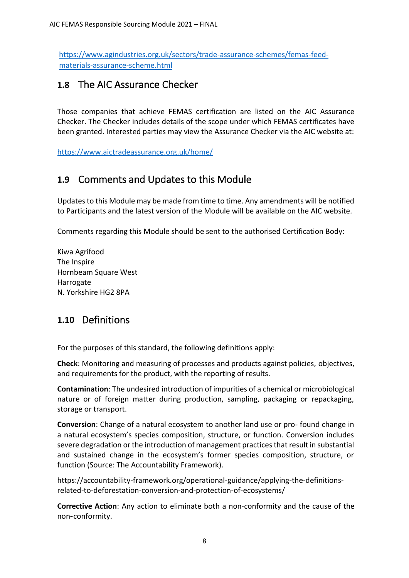[https://www.agindustries.org.uk/sectors/trade-assurance-schemes/femas-feed](https://www.agindustries.org.uk/sectors/trade-assurance-schemes/femas-feed-materials-assurance-scheme.html)[materials-assurance-scheme.html](https://www.agindustries.org.uk/sectors/trade-assurance-schemes/femas-feed-materials-assurance-scheme.html)

## <span id="page-9-0"></span>**1.8** The AIC Assurance Checker

Those companies that achieve FEMAS certification are listed on the AIC Assurance Checker. The Checker includes details of the scope under which FEMAS certificates have been granted. Interested parties may view the Assurance Checker via the AIC website at:

<https://www.aictradeassurance.org.uk/home/>

### <span id="page-9-1"></span>**1.9** Comments and Updates to this Module

Updates to this Module may be made from time to time. Any amendments will be notified to Participants and the latest version of the Module will be available on the AIC website.

Comments regarding this Module should be sent to the authorised Certification Body:

Kiwa Agrifood The Inspire Hornbeam Square West Harrogate N. Yorkshire HG2 8PA

#### <span id="page-9-2"></span>**1.10** Definitions

For the purposes of this standard, the following definitions apply:

**Check**: Monitoring and measuring of processes and products against policies, objectives, and requirements for the product, with the reporting of results.

**Contamination**: The undesired introduction of impurities of a chemical or microbiological nature or of foreign matter during production, sampling, packaging or repackaging, storage or transport.

**Conversion**: Change of a natural ecosystem to another land use or pro- found change in a natural ecosystem's species composition, structure, or function. Conversion includes severe degradation or the introduction of management practices that result in substantial and sustained change in the ecosystem's former species composition, structure, or function (Source: The Accountability Framework).

https://accountability-framework.org/operational-guidance/applying-the-definitionsrelated-to-deforestation-conversion-and-protection-of-ecosystems/

**Corrective Action**: Any action to eliminate both a non-conformity and the cause of the non-conformity.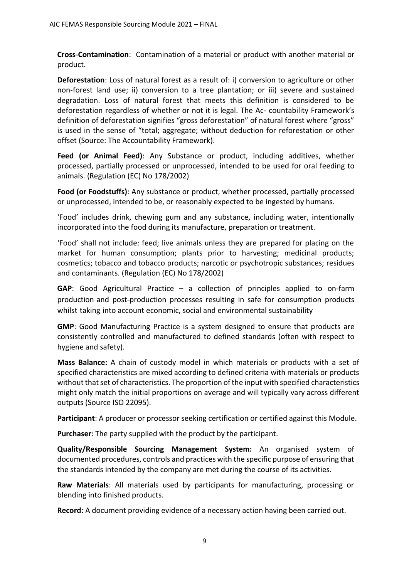**Cross--‐Contamination**: Contamination of a material or product with another material or product.

**Deforestation**: Loss of natural forest as a result of: i) conversion to agriculture or other non-forest land use; ii) conversion to a tree plantation; or iii) severe and sustained degradation. Loss of natural forest that meets this definition is considered to be deforestation regardless of whether or not it is legal. The Ac- countability Framework's definition of deforestation signifies "gross deforestation" of natural forest where "gross" is used in the sense of "total; aggregate; without deduction for reforestation or other offset (Source: The Accountability Framework).

**Feed (or Animal Feed)**: Any Substance or product, including additives, whether processed, partially processed or unprocessed, intended to be used for oral feeding to animals. (Regulation (EC) No 178/2002)

**Food (or Foodstuffs)**: Any substance or product, whether processed, partially processed or unprocessed, intended to be, or reasonably expected to be ingested by humans.

'Food' includes drink, chewing gum and any substance, including water, intentionally incorporated into the food during its manufacture, preparation or treatment.

'Food' shall not include: feed; live animals unless they are prepared for placing on the market for human consumption; plants prior to harvesting; medicinal products; cosmetics; tobacco and tobacco products; narcotic or psychotropic substances; residues and contaminants. (Regulation (EC) No 178/2002)

GAP: Good Agricultural Practice – a collection of principles applied to on-farm production and post-production processes resulting in safe for consumption products whilst taking into account economic, social and environmental sustainability

**GMP**: Good Manufacturing Practice is a system designed to ensure that products are consistently controlled and manufactured to defined standards (often with respect to hygiene and safety).

**Mass Balance:** A chain of custody model in which materials or products with a set of specified characteristics are mixed according to defined criteria with materials or products without that set of characteristics. The proportion of the input with specified characteristics might only match the initial proportions on average and will typically vary across different outputs (Source ISO 22095).

**Participant**: A producer or processor seeking certification or certified against this Module.

**Purchaser**: The party supplied with the product by the participant.

**Quality/Responsible Sourcing Management System:** An organised system of documented procedures, controls and practices with the specific purpose of ensuring that the standards intended by the company are met during the course of its activities.

**Raw Materials**: All materials used by participants for manufacturing, processing or blending into finished products.

**Record**: A document providing evidence of a necessary action having been carried out.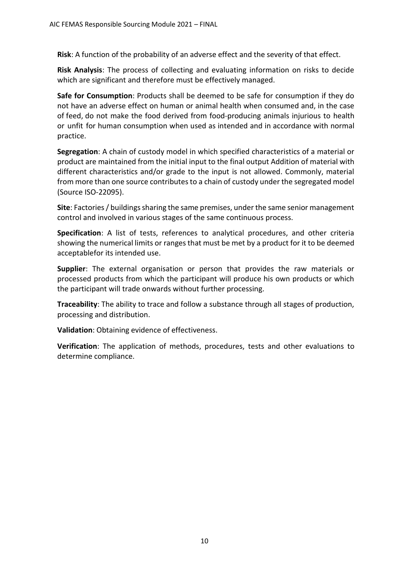**Risk**: A function of the probability of an adverse effect and the severity of that effect.

**Risk Analysis**: The process of collecting and evaluating information on risks to decide which are significant and therefore must be effectively managed.

**Safe for Consumption**: Products shall be deemed to be safe for consumption if they do not have an adverse effect on human or animal health when consumed and, in the case of feed, do not make the food derived from food-producing animals injurious to health or unfit for human consumption when used as intended and in accordance with normal practice.

**Segregation**: A chain of custody model in which specified characteristics of a material or product are maintained from the initial input to the final output Addition of material with different characteristics and/or grade to the input is not allowed. Commonly, material from more than one source contributes to a chain of custody under the segregated model (Source ISO-22095).

**Site**: Factories / buildings sharing the same premises, under the same senior management control and involved in various stages of the same continuous process.

**Specification**: A list of tests, references to analytical procedures, and other criteria showing the numerical limits or ranges that must be met by a product for it to be deemed acceptablefor its intended use.

**Supplier**: The external organisation or person that provides the raw materials or processed products from which the participant will produce his own products or which the participant will trade onwards without further processing.

**Traceability**: The ability to trace and follow a substance through all stages of production, processing and distribution.

**Validation**: Obtaining evidence of effectiveness.

**Verification**: The application of methods, procedures, tests and other evaluations to determine compliance.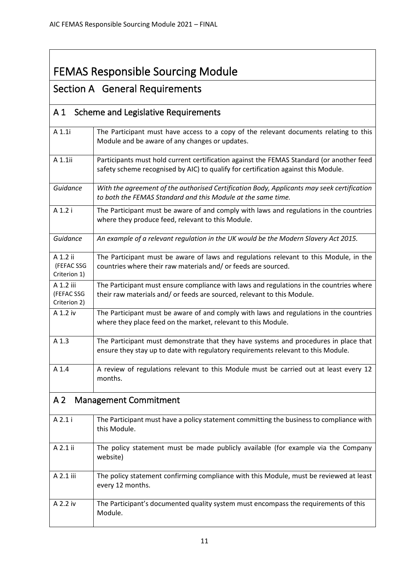# <span id="page-12-0"></span>FEMAS Responsible Sourcing Module

# <span id="page-12-1"></span>Section A General Requirements

<span id="page-12-3"></span><span id="page-12-2"></span>

| A 1 Scheme and Legislative Requirements        |                                                                                                                                                                                |  |
|------------------------------------------------|--------------------------------------------------------------------------------------------------------------------------------------------------------------------------------|--|
| A 1.1i                                         | The Participant must have access to a copy of the relevant documents relating to this<br>Module and be aware of any changes or updates.                                        |  |
| A 1.1ii                                        | Participants must hold current certification against the FEMAS Standard (or another feed<br>safety scheme recognised by AIC) to qualify for certification against this Module. |  |
| Guidance                                       | With the agreement of the authorised Certification Body, Applicants may seek certification<br>to both the FEMAS Standard and this Module at the same time.                     |  |
| A 1.2 i                                        | The Participant must be aware of and comply with laws and regulations in the countries<br>where they produce feed, relevant to this Module.                                    |  |
| Guidance                                       | An example of a relevant regulation in the UK would be the Modern Slavery Act 2015.                                                                                            |  |
| A 1.2 ii<br>(FEFAC SSG<br>Criterion 1)         | The Participant must be aware of laws and regulations relevant to this Module, in the<br>countries where their raw materials and/ or feeds are sourced.                        |  |
| A 1.2 iii<br>(FEFAC SSG<br>Criterion 2)        | The Participant must ensure compliance with laws and regulations in the countries where<br>their raw materials and/ or feeds are sourced, relevant to this Module.             |  |
| A 1.2 iv                                       | The Participant must be aware of and comply with laws and regulations in the countries<br>where they place feed on the market, relevant to this Module.                        |  |
| A 1.3                                          | The Participant must demonstrate that they have systems and procedures in place that<br>ensure they stay up to date with regulatory requirements relevant to this Module.      |  |
| $A$ 1.4                                        | A review of regulations relevant to this Module must be carried out at least every 12<br>months.                                                                               |  |
| A <sub>2</sub><br><b>Management Commitment</b> |                                                                                                                                                                                |  |
| A 2.1 i                                        | The Participant must have a policy statement committing the business to compliance with<br>this Module.                                                                        |  |
| A 2.1 ii                                       | The policy statement must be made publicly available (for example via the Company<br>website)                                                                                  |  |
| A 2.1 iii                                      | The policy statement confirming compliance with this Module, must be reviewed at least<br>every 12 months.                                                                     |  |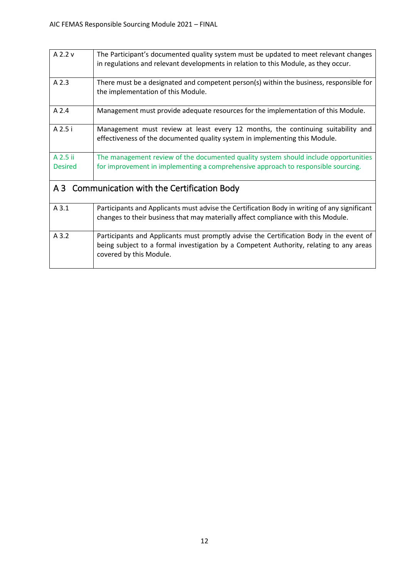<span id="page-13-0"></span>

| $A$ 2.2 $v$                                   | The Participant's documented quality system must be updated to meet relevant changes<br>in regulations and relevant developments in relation to this Module, as they occur.                                   |  |
|-----------------------------------------------|---------------------------------------------------------------------------------------------------------------------------------------------------------------------------------------------------------------|--|
| A 2.3                                         | There must be a designated and competent person(s) within the business, responsible for<br>the implementation of this Module.                                                                                 |  |
| A 2.4                                         | Management must provide adequate resources for the implementation of this Module.                                                                                                                             |  |
| A 2.5 i                                       | Management must review at least every 12 months, the continuing suitability and<br>effectiveness of the documented quality system in implementing this Module.                                                |  |
| A 2.5 ii<br><b>Desired</b>                    | The management review of the documented quality system should include opportunities<br>for improvement in implementing a comprehensive approach to responsible sourcing.                                      |  |
| A 3 Communication with the Certification Body |                                                                                                                                                                                                               |  |
| A3.1                                          | Participants and Applicants must advise the Certification Body in writing of any significant<br>changes to their business that may materially affect compliance with this Module.                             |  |
| A 3.2                                         | Participants and Applicants must promptly advise the Certification Body in the event of<br>being subject to a formal investigation by a Competent Authority, relating to any areas<br>covered by this Module. |  |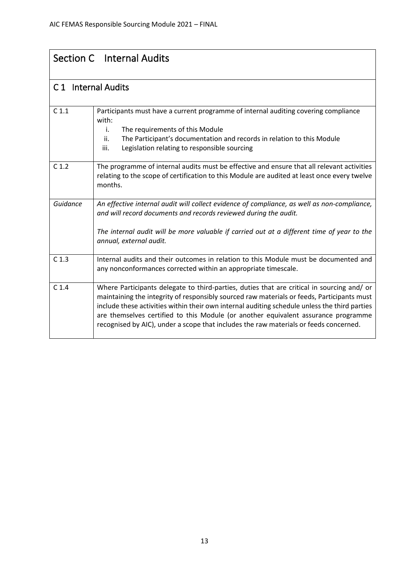<span id="page-14-1"></span><span id="page-14-0"></span>

| Section C Internal Audits      |                                                                                                                                                                                                                                                                                                                                                                                                                                                                          |  |
|--------------------------------|--------------------------------------------------------------------------------------------------------------------------------------------------------------------------------------------------------------------------------------------------------------------------------------------------------------------------------------------------------------------------------------------------------------------------------------------------------------------------|--|
| C <sub>1</sub> Internal Audits |                                                                                                                                                                                                                                                                                                                                                                                                                                                                          |  |
| C <sub>1.1</sub>               | Participants must have a current programme of internal auditing covering compliance<br>with:<br>i.<br>The requirements of this Module<br>The Participant's documentation and records in relation to this Module<br>ii.<br>iii.<br>Legislation relating to responsible sourcing                                                                                                                                                                                           |  |
| C <sub>1.2</sub>               | The programme of internal audits must be effective and ensure that all relevant activities<br>relating to the scope of certification to this Module are audited at least once every twelve<br>months.                                                                                                                                                                                                                                                                    |  |
| Guidance                       | An effective internal audit will collect evidence of compliance, as well as non-compliance,<br>and will record documents and records reviewed during the audit.<br>The internal audit will be more valuable if carried out at a different time of year to the<br>annual, external audit.                                                                                                                                                                                 |  |
| C <sub>1.3</sub>               | Internal audits and their outcomes in relation to this Module must be documented and<br>any nonconformances corrected within an appropriate timescale.                                                                                                                                                                                                                                                                                                                   |  |
| C <sub>1.4</sub>               | Where Participants delegate to third-parties, duties that are critical in sourcing and/ or<br>maintaining the integrity of responsibly sourced raw materials or feeds, Participants must<br>include these activities within their own internal auditing schedule unless the third parties<br>are themselves certified to this Module (or another equivalent assurance programme<br>recognised by AIC), under a scope that includes the raw materials or feeds concerned. |  |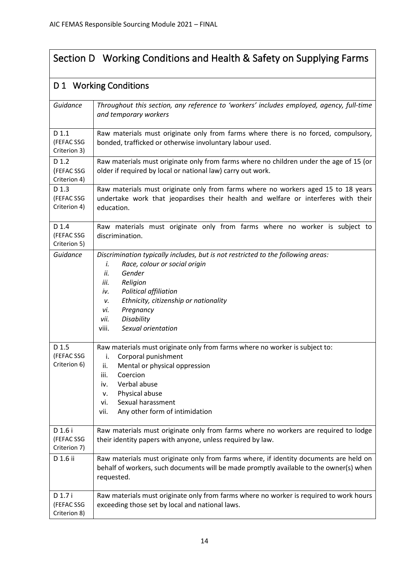# <span id="page-15-0"></span>Section D Working Conditions and Health & Safety on Supplying Farms

# <span id="page-15-1"></span>D 1 Working Conditions

| Guidance                              | Throughout this section, any reference to 'workers' includes employed, agency, full-time<br>and temporary workers                                                                                                                                                                                                    |
|---------------------------------------|----------------------------------------------------------------------------------------------------------------------------------------------------------------------------------------------------------------------------------------------------------------------------------------------------------------------|
| D 1.1<br>(FEFAC SSG<br>Criterion 3)   | Raw materials must originate only from farms where there is no forced, compulsory,<br>bonded, trafficked or otherwise involuntary labour used.                                                                                                                                                                       |
| D 1.2<br>(FEFAC SSG<br>Criterion 4)   | Raw materials must originate only from farms where no children under the age of 15 (or<br>older if required by local or national law) carry out work.                                                                                                                                                                |
| D 1.3<br>(FEFAC SSG<br>Criterion 4)   | Raw materials must originate only from farms where no workers aged 15 to 18 years<br>undertake work that jeopardises their health and welfare or interferes with their<br>education.                                                                                                                                 |
| D 1.4<br>(FEFAC SSG<br>Criterion 5)   | Raw materials must originate only from farms where no worker is subject to<br>discrimination.                                                                                                                                                                                                                        |
| Guidance                              | Discrimination typically includes, but is not restricted to the following areas:<br>Race, colour or social origin<br>i.<br>Gender<br>ii.<br>iii.<br>Religion<br>Political affiliation<br>iv.<br>Ethnicity, citizenship or nationality<br>ν.<br>Pregnancy<br>vi.<br>Disability<br>vii.<br>Sexual orientation<br>viii. |
| D 1.5<br>(FEFAC SSG<br>Criterion 6)   | Raw materials must originate only from farms where no worker is subject to:<br>Corporal punishment<br>i.<br>Mental or physical oppression<br>ii.<br>iii.<br>Coercion<br>Verbal abuse<br>iv.<br>Physical abuse<br>v.<br>Sexual harassment<br>vi.<br>Any other form of intimidation<br>vii.                            |
| D 1.6 i<br>(FEFAC SSG<br>Criterion 7) | Raw materials must originate only from farms where no workers are required to lodge<br>their identity papers with anyone, unless required by law.                                                                                                                                                                    |
| D 1.6 ii                              | Raw materials must originate only from farms where, if identity documents are held on<br>behalf of workers, such documents will be made promptly available to the owner(s) when<br>requested.                                                                                                                        |
| D 1.7 i<br>(FEFAC SSG<br>Criterion 8) | Raw materials must originate only from farms where no worker is required to work hours<br>exceeding those set by local and national laws.                                                                                                                                                                            |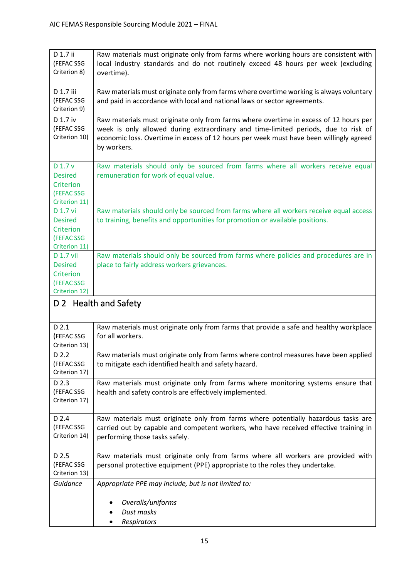<span id="page-16-0"></span>

| D 1.7 ii<br>(FEFAC SSG<br>Criterion 8)                                  | Raw materials must originate only from farms where working hours are consistent with<br>local industry standards and do not routinely exceed 48 hours per week (excluding<br>overtime).                                                                                              |
|-------------------------------------------------------------------------|--------------------------------------------------------------------------------------------------------------------------------------------------------------------------------------------------------------------------------------------------------------------------------------|
| D 1.7 iii<br>(FEFAC SSG<br>Criterion 9)                                 | Raw materials must originate only from farms where overtime working is always voluntary<br>and paid in accordance with local and national laws or sector agreements.                                                                                                                 |
| D 1.7 iv<br>(FEFAC SSG<br>Criterion 10)                                 | Raw materials must originate only from farms where overtime in excess of 12 hours per<br>week is only allowed during extraordinary and time-limited periods, due to risk of<br>economic loss. Overtime in excess of 12 hours per week must have been willingly agreed<br>by workers. |
| D 1.7 v<br><b>Desired</b><br>Criterion<br>(FEFAC SSG<br>Criterion 11)   | Raw materials should only be sourced from farms where all workers receive equal<br>remuneration for work of equal value.                                                                                                                                                             |
| D 1.7 vi<br><b>Desired</b><br>Criterion<br>(FEFAC SSG<br>Criterion 11)  | Raw materials should only be sourced from farms where all workers receive equal access<br>to training, benefits and opportunities for promotion or available positions.                                                                                                              |
| D 1.7 vii<br><b>Desired</b><br>Criterion<br>(FEFAC SSG<br>Criterion 12) | Raw materials should only be sourced from farms where policies and procedures are in<br>place to fairly address workers grievances.                                                                                                                                                  |
| D 2 Health and Safety                                                   |                                                                                                                                                                                                                                                                                      |
| D 2.1<br>(FEFAC SSG<br>Criterion 13)                                    | Raw materials must originate only from farms that provide a safe and healthy workplace<br>for all workers.                                                                                                                                                                           |
| D 2.2<br>(FEFAC SSG<br>Criterion 17)                                    | Raw materials must originate only from farms where control measures have been applied<br>to mitigate each identified health and safety hazard.                                                                                                                                       |
| D 2.3<br>(FEFAC SSG<br>Criterion 17)                                    | Raw materials must originate only from farms where monitoring systems ensure that<br>health and safety controls are effectively implemented.                                                                                                                                         |
| D 2.4<br>(FEFAC SSG<br>Criterion 14)                                    | Raw materials must originate only from farms where potentially hazardous tasks are<br>carried out by capable and competent workers, who have received effective training in<br>performing those tasks safely.                                                                        |
| D <sub>2.5</sub><br>(FEFAC SSG<br>Criterion 13)                         | Raw materials must originate only from farms where all workers are provided with<br>personal protective equipment (PPE) appropriate to the roles they undertake.                                                                                                                     |
| Guidance                                                                | Appropriate PPE may include, but is not limited to:                                                                                                                                                                                                                                  |
|                                                                         | Overalls/uniforms<br>Dust masks<br>Respirators                                                                                                                                                                                                                                       |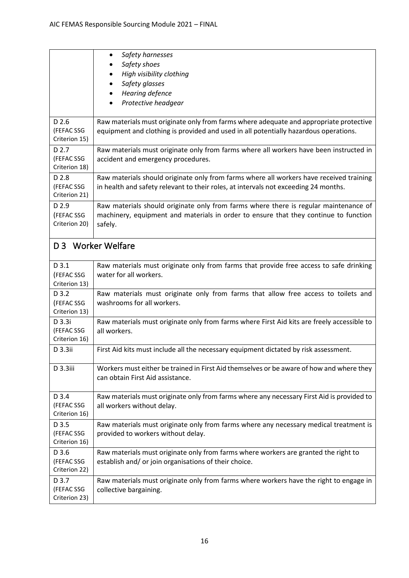<span id="page-17-0"></span>

|                                        | Safety harnesses<br>$\bullet$<br>Safety shoes<br>High visibility clothing<br>Safety glasses<br>Hearing defence<br>$\bullet$<br>Protective headgear<br>$\bullet$                         |
|----------------------------------------|-----------------------------------------------------------------------------------------------------------------------------------------------------------------------------------------|
| D 2.6<br>(FEFAC SSG<br>Criterion 15)   | Raw materials must originate only from farms where adequate and appropriate protective<br>equipment and clothing is provided and used in all potentially hazardous operations.          |
| D 2.7<br>(FEFAC SSG<br>Criterion 18)   | Raw materials must originate only from farms where all workers have been instructed in<br>accident and emergency procedures.                                                            |
| D 2.8<br>(FEFAC SSG<br>Criterion 21)   | Raw materials should originate only from farms where all workers have received training<br>in health and safety relevant to their roles, at intervals not exceeding 24 months.          |
| D 2.9<br>(FEFAC SSG<br>Criterion 20)   | Raw materials should originate only from farms where there is regular maintenance of<br>machinery, equipment and materials in order to ensure that they continue to function<br>safely. |
|                                        | D 3 Worker Welfare                                                                                                                                                                      |
| $D$ 3.1<br>(FEFAC SSG<br>Criterion 13) | Raw materials must originate only from farms that provide free access to safe drinking<br>water for all workers.                                                                        |
| D 3.2<br>(FEFAC SSG<br>Criterion 13)   | Raw materials must originate only from farms that allow free access to toilets and<br>washrooms for all workers.                                                                        |
| D 3.3i<br>(FEFAC SSG<br>Criterion 16)  | Raw materials must originate only from farms where First Aid kits are freely accessible to<br>all workers.                                                                              |
| D 3.3ii                                | First Aid kits must include all the necessary equipment dictated by risk assessment.                                                                                                    |
| D 3.3iii                               | Workers must either be trained in First Aid themselves or be aware of how and where they<br>can obtain First Aid assistance.                                                            |
| D 3.4<br>(FEFAC SSG<br>Criterion 16)   | Raw materials must originate only from farms where any necessary First Aid is provided to<br>all workers without delay.                                                                 |
| D 3.5<br>(FEFAC SSG<br>Criterion 16)   | Raw materials must originate only from farms where any necessary medical treatment is<br>provided to workers without delay.                                                             |
| D 3.6<br>(FEFAC SSG<br>Criterion 22)   | Raw materials must originate only from farms where workers are granted the right to<br>establish and/ or join organisations of their choice.                                            |
| D 3.7<br>(FEFAC SSG<br>Criterion 23)   | Raw materials must originate only from farms where workers have the right to engage in<br>collective bargaining.                                                                        |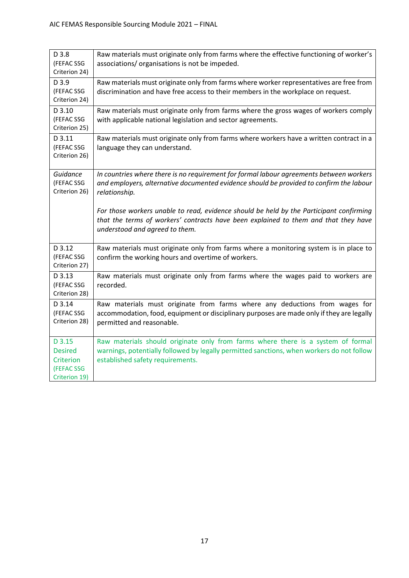| D 3.8<br>(FEFAC SSG<br>Criterion 24)                                 | Raw materials must originate only from farms where the effective functioning of worker's<br>associations/ organisations is not be impeded.                                                                        |
|----------------------------------------------------------------------|-------------------------------------------------------------------------------------------------------------------------------------------------------------------------------------------------------------------|
| D 3.9<br>(FEFAC SSG<br>Criterion 24)                                 | Raw materials must originate only from farms where worker representatives are free from<br>discrimination and have free access to their members in the workplace on request.                                      |
| D 3.10<br>(FEFAC SSG<br>Criterion 25)                                | Raw materials must originate only from farms where the gross wages of workers comply<br>with applicable national legislation and sector agreements.                                                               |
| D 3.11<br>(FEFAC SSG<br>Criterion 26)                                | Raw materials must originate only from farms where workers have a written contract in a<br>language they can understand.                                                                                          |
| Guidance<br>(FEFAC SSG<br>Criterion 26)                              | In countries where there is no requirement for formal labour agreements between workers<br>and employers, alternative documented evidence should be provided to confirm the labour<br>relationship.               |
|                                                                      | For those workers unable to read, evidence should be held by the Participant confirming<br>that the terms of workers' contracts have been explained to them and that they have<br>understood and agreed to them.  |
| D 3.12<br>(FEFAC SSG<br>Criterion 27)                                | Raw materials must originate only from farms where a monitoring system is in place to<br>confirm the working hours and overtime of workers.                                                                       |
| D 3.13<br>(FEFAC SSG<br>Criterion 28)                                | Raw materials must originate only from farms where the wages paid to workers are<br>recorded.                                                                                                                     |
| D 3.14<br>(FEFAC SSG<br>Criterion 28)                                | Raw materials must originate from farms where any deductions from wages for<br>accommodation, food, equipment or disciplinary purposes are made only if they are legally<br>permitted and reasonable.             |
| D 3.15<br><b>Desired</b><br>Criterion<br>(FEFAC SSG<br>Criterion 19) | Raw materials should originate only from farms where there is a system of formal<br>warnings, potentially followed by legally permitted sanctions, when workers do not follow<br>established safety requirements. |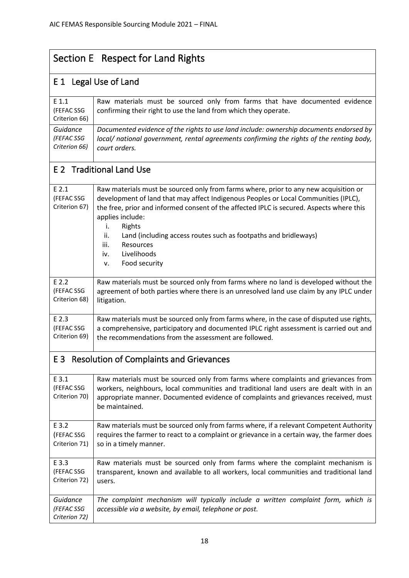## <span id="page-19-0"></span>Section E Respect for Land Rights

#### <span id="page-19-1"></span>E 1 Legal Use of Land

E 1.1 (FEFAC SSG Criterion 66) Raw materials must be sourced only from farms that have documented evidence confirming their right to use the land from which they operate. *Guidance (FEFAC SSG Criterion 66) Documented evidence of the rights to use land include: ownership documents endorsed by local/ national government, rental agreements confirming the rights of the renting body, court orders.*

#### <span id="page-19-2"></span>E 2 Traditional Land Use

<span id="page-19-3"></span>

| E 2.1<br>(FEFAC SSG<br>Criterion 67)    | Raw materials must be sourced only from farms where, prior to any new acquisition or<br>development of land that may affect Indigenous Peoples or Local Communities (IPLC),<br>the free, prior and informed consent of the affected IPLC is secured. Aspects where this<br>applies include:<br>Rights<br>i.<br>Land (including access routes such as footpaths and bridleways)<br>ii.<br>iii.<br>Resources<br>Livelihoods<br>iv.<br>Food security<br>v. |
|-----------------------------------------|---------------------------------------------------------------------------------------------------------------------------------------------------------------------------------------------------------------------------------------------------------------------------------------------------------------------------------------------------------------------------------------------------------------------------------------------------------|
| E 2.2                                   | Raw materials must be sourced only from farms where no land is developed without the                                                                                                                                                                                                                                                                                                                                                                    |
| (FEFAC SSG                              | agreement of both parties where there is an unresolved land use claim by any IPLC under                                                                                                                                                                                                                                                                                                                                                                 |
| Criterion 68)                           | litigation.                                                                                                                                                                                                                                                                                                                                                                                                                                             |
| E 2.3                                   | Raw materials must be sourced only from farms where, in the case of disputed use rights,                                                                                                                                                                                                                                                                                                                                                                |
| (FEFAC SSG                              | a comprehensive, participatory and documented IPLC right assessment is carried out and                                                                                                                                                                                                                                                                                                                                                                  |
| Criterion 69)                           | the recommendations from the assessment are followed.                                                                                                                                                                                                                                                                                                                                                                                                   |
| E <sub>3</sub>                          | <b>Resolution of Complaints and Grievances</b>                                                                                                                                                                                                                                                                                                                                                                                                          |
| E 3.1<br>(FEFAC SSG<br>Criterion 70)    | Raw materials must be sourced only from farms where complaints and grievances from<br>workers, neighbours, local communities and traditional land users are dealt with in an<br>appropriate manner. Documented evidence of complaints and grievances received, must<br>be maintained.                                                                                                                                                                   |
| E 3.2                                   | Raw materials must be sourced only from farms where, if a relevant Competent Authority                                                                                                                                                                                                                                                                                                                                                                  |
| (FEFAC SSG                              | requires the farmer to react to a complaint or grievance in a certain way, the farmer does                                                                                                                                                                                                                                                                                                                                                              |
| Criterion 71)                           | so in a timely manner.                                                                                                                                                                                                                                                                                                                                                                                                                                  |
| E 3.3                                   | Raw materials must be sourced only from farms where the complaint mechanism is                                                                                                                                                                                                                                                                                                                                                                          |
| (FEFAC SSG                              | transparent, known and available to all workers, local communities and traditional land                                                                                                                                                                                                                                                                                                                                                                 |
| Criterion 72)                           | users.                                                                                                                                                                                                                                                                                                                                                                                                                                                  |
| Guidance<br>(FEFAC SSG<br>Criterion 72) | The complaint mechanism will typically include a written complaint form, which is<br>accessible via a website, by email, telephone or post.                                                                                                                                                                                                                                                                                                             |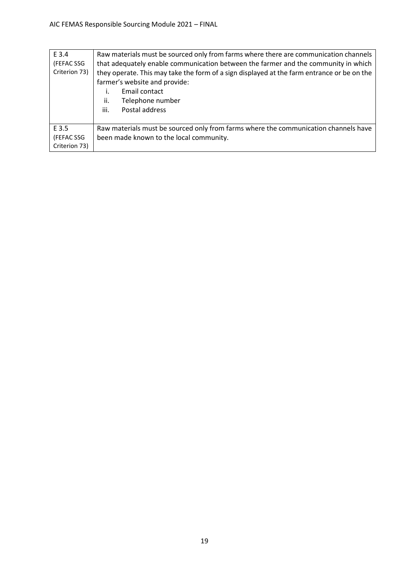| E 3.4<br>(FEFAC SSG<br>Criterion 73) | Raw materials must be sourced only from farms where there are communication channels<br>that adequately enable communication between the farmer and the community in which<br>they operate. This may take the form of a sign displayed at the farm entrance or be on the<br>farmer's website and provide:<br>Email contact<br>Telephone number<br>ii.<br>iii.<br>Postal address |
|--------------------------------------|---------------------------------------------------------------------------------------------------------------------------------------------------------------------------------------------------------------------------------------------------------------------------------------------------------------------------------------------------------------------------------|
| E 3.5<br>(FEFAC SSG<br>Criterion 73) | Raw materials must be sourced only from farms where the communication channels have<br>been made known to the local community.                                                                                                                                                                                                                                                  |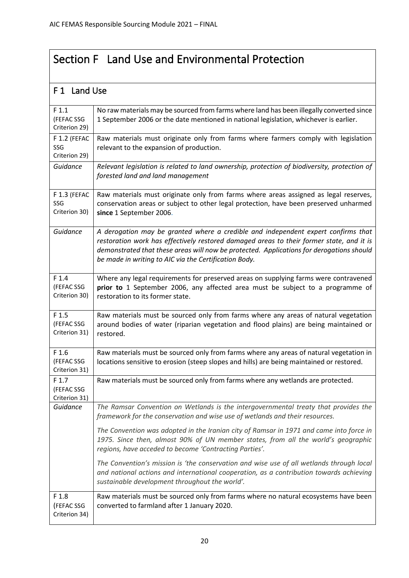# <span id="page-21-0"></span>Section F Land Use and Environmental Protection

<span id="page-21-1"></span>

| F 1 Land Use                                    |                                                                                                                                                                                                                                                                                                                                    |  |
|-------------------------------------------------|------------------------------------------------------------------------------------------------------------------------------------------------------------------------------------------------------------------------------------------------------------------------------------------------------------------------------------|--|
| F 1.1<br>(FEFAC SSG<br>Criterion 29)            | No raw materials may be sourced from farms where land has been illegally converted since<br>1 September 2006 or the date mentioned in national legislation, whichever is earlier.                                                                                                                                                  |  |
| F 1.2 (FEFAC<br>SSG<br>Criterion 29)            | Raw materials must originate only from farms where farmers comply with legislation<br>relevant to the expansion of production.                                                                                                                                                                                                     |  |
| Guidance                                        | Relevant legislation is related to land ownership, protection of biodiversity, protection of<br>forested land and land management                                                                                                                                                                                                  |  |
| F 1.3 (FEFAC<br>SSG<br>Criterion 30)            | Raw materials must originate only from farms where areas assigned as legal reserves,<br>conservation areas or subject to other legal protection, have been preserved unharmed<br>since 1 September 2006.                                                                                                                           |  |
| Guidance                                        | A derogation may be granted where a credible and independent expert confirms that<br>restoration work has effectively restored damaged areas to their former state, and it is<br>demonstrated that these areas will now be protected. Applications for derogations should<br>be made in writing to AIC via the Certification Body. |  |
| F 1.4<br>(FEFAC SSG<br>Criterion 30)            | Where any legal requirements for preserved areas on supplying farms were contravened<br>prior to 1 September 2006, any affected area must be subject to a programme of<br>restoration to its former state.                                                                                                                         |  |
| F <sub>1.5</sub><br>(FEFAC SSG<br>Criterion 31) | Raw materials must be sourced only from farms where any areas of natural vegetation<br>around bodies of water (riparian vegetation and flood plains) are being maintained or<br>restored.                                                                                                                                          |  |
| F <sub>1.6</sub><br>(FEFAC SSG<br>Criterion 31) | Raw materials must be sourced only from farms where any areas of natural vegetation in<br>locations sensitive to erosion (steep slopes and hills) are being maintained or restored.                                                                                                                                                |  |
| $F$ 1.7<br>(FEFAC SSG<br>Criterion 31)          | Raw materials must be sourced only from farms where any wetlands are protected.                                                                                                                                                                                                                                                    |  |
| Guidance                                        | The Ramsar Convention on Wetlands is the intergovernmental treaty that provides the<br>framework for the conservation and wise use of wetlands and their resources.                                                                                                                                                                |  |
|                                                 | The Convention was adopted in the Iranian city of Ramsar in 1971 and came into force in<br>1975. Since then, almost 90% of UN member states, from all the world's geographic<br>regions, have acceded to become 'Contracting Parties'.                                                                                             |  |
|                                                 | The Convention's mission is 'the conservation and wise use of all wetlands through local<br>and national actions and international cooperation, as a contribution towards achieving<br>sustainable development throughout the world'.                                                                                              |  |
| F 1.8<br>(FEFAC SSG<br>Criterion 34)            | Raw materials must be sourced only from farms where no natural ecosystems have been<br>converted to farmland after 1 January 2020.                                                                                                                                                                                                 |  |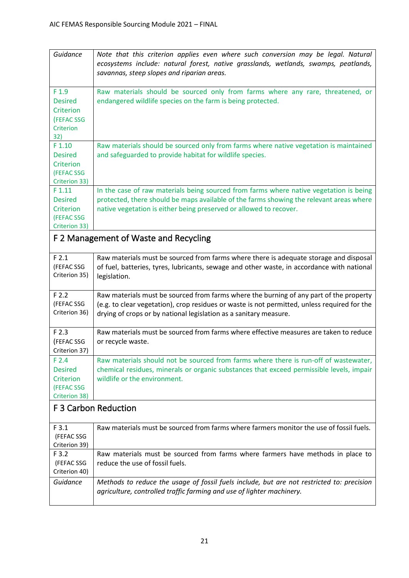<span id="page-22-1"></span><span id="page-22-0"></span>

| Guidance                                                                       | Note that this criterion applies even where such conversion may be legal. Natural<br>ecosystems include: natural forest, native grasslands, wetlands, swamps, peatlands,<br>savannas, steep slopes and riparian areas.                                      |
|--------------------------------------------------------------------------------|-------------------------------------------------------------------------------------------------------------------------------------------------------------------------------------------------------------------------------------------------------------|
| F 1.9<br><b>Desired</b><br>Criterion<br><b>(FEFAC SSG</b><br>Criterion<br>32)  | Raw materials should be sourced only from farms where any rare, threatened, or<br>endangered wildlife species on the farm is being protected.                                                                                                               |
| F 1.10<br><b>Desired</b><br>Criterion<br>(FEFAC SSG<br>Criterion 33)           | Raw materials should be sourced only from farms where native vegetation is maintained<br>and safeguarded to provide habitat for wildlife species.                                                                                                           |
| F 1.11<br><b>Desired</b><br>Criterion<br>(FEFAC SSG<br>Criterion 33)           | In the case of raw materials being sourced from farms where native vegetation is being<br>protected, there should be maps available of the farms showing the relevant areas where<br>native vegetation is either being preserved or allowed to recover.     |
| F 2 Management of Waste and Recycling                                          |                                                                                                                                                                                                                                                             |
| $F$ 2.1<br>(FEFAC SSG<br>Criterion 35)                                         | Raw materials must be sourced from farms where there is adequate storage and disposal<br>of fuel, batteries, tyres, lubricants, sewage and other waste, in accordance with national<br>legislation.                                                         |
| $F$ 2.2<br>(FEFAC SSG<br>Criterion 36)                                         | Raw materials must be sourced from farms where the burning of any part of the property<br>(e.g. to clear vegetation), crop residues or waste is not permitted, unless required for the<br>drying of crops or by national legislation as a sanitary measure. |
| F 2.3<br>(FEFAC SSG<br>Criterion 37)                                           | Raw materials must be sourced from farms where effective measures are taken to reduce<br>or recycle waste.                                                                                                                                                  |
| F <sub>2.4</sub><br><b>Desired</b><br>Criterion<br>(FEFAC SSG<br>Criterion 38) | Raw materials should not be sourced from farms where there is run-off of wastewater,<br>chemical residues, minerals or organic substances that exceed permissible levels, impair<br>wildlife or the environment.                                            |
| <b>F 3 Carbon Reduction</b>                                                    |                                                                                                                                                                                                                                                             |
| F 3.1<br>(FEFAC SSG<br>Criterion 39)                                           | Raw materials must be sourced from farms where farmers monitor the use of fossil fuels.                                                                                                                                                                     |
| F 3.2<br>(FEFAC SSG<br>Criterion 40)                                           | Raw materials must be sourced from farms where farmers have methods in place to<br>reduce the use of fossil fuels.                                                                                                                                          |
| Guidance                                                                       | Methods to reduce the usage of fossil fuels include, but are not restricted to: precision<br>agriculture, controlled traffic farming and use of lighter machinery.                                                                                          |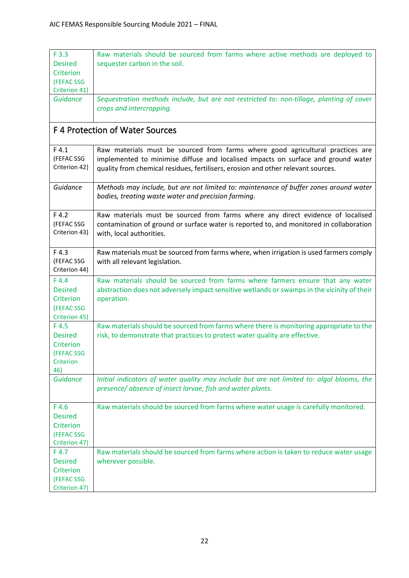<span id="page-23-0"></span>

| F 3.3             | Raw materials should be sourced from farms where active methods are deployed to                                                              |
|-------------------|----------------------------------------------------------------------------------------------------------------------------------------------|
| <b>Desired</b>    | sequester carbon in the soil.                                                                                                                |
| Criterion         |                                                                                                                                              |
| (FEFAC SSG        |                                                                                                                                              |
| Criterion 41)     |                                                                                                                                              |
| <b>Guidance</b>   | Sequestration methods include, but are not restricted to: non-tillage, planting of cover                                                     |
|                   | crops and intercropping.                                                                                                                     |
|                   |                                                                                                                                              |
|                   | <b>F4 Protection of Water Sources</b>                                                                                                        |
| $F$ 4.1           | Raw materials must be sourced from farms where good agricultural practices are                                                               |
| (FEFAC SSG        | implemented to minimise diffuse and localised impacts on surface and ground water                                                            |
| Criterion 42)     | quality from chemical residues, fertilisers, erosion and other relevant sources.                                                             |
| Guidance          | Methods may include, but are not limited to: maintenance of buffer zones around water<br>bodies, treating waste water and precision farming. |
| F4.2              | Raw materials must be sourced from farms where any direct evidence of localised                                                              |
| (FEFAC SSG        | contamination of ground or surface water is reported to, and monitored in collaboration                                                      |
| Criterion 43)     | with, local authorities.                                                                                                                     |
|                   |                                                                                                                                              |
| F4.3              | Raw materials must be sourced from farms where, when irrigation is used farmers comply                                                       |
| (FEFAC SSG        | with all relevant legislation.                                                                                                               |
| Criterion 44)     |                                                                                                                                              |
| F4.4              | Raw materials should be sourced from farms where farmers ensure that any water                                                               |
| <b>Desired</b>    | abstraction does not adversely impact sensitive wetlands or swamps in the vicinity of their                                                  |
| Criterion         | operation.                                                                                                                                   |
| (FEFAC SSG        |                                                                                                                                              |
| Criterion 45)     |                                                                                                                                              |
| F4.5              | Raw materials should be sourced from farms where there is monitoring appropriate to the                                                      |
| <b>Desired</b>    | risk, to demonstrate that practices to protect water quality are effective.                                                                  |
| Criterion         |                                                                                                                                              |
| <b>(FEFAC SSG</b> |                                                                                                                                              |
| Criterion         |                                                                                                                                              |
| 46)               |                                                                                                                                              |
| <b>Guidance</b>   | Initial indicators of water quality may include but are not limited to: algal blooms, the                                                    |
|                   | presence/absence of insect larvae, fish and water plants.                                                                                    |
|                   |                                                                                                                                              |
| F4.6              | Raw materials should be sourced from farms where water usage is carefully monitored.                                                         |
| <b>Desired</b>    |                                                                                                                                              |
| Criterion         |                                                                                                                                              |
| (FEFAC SSG        |                                                                                                                                              |
| Criterion 47)     |                                                                                                                                              |
| F4.7              | Raw materials should be sourced from farms where action is taken to reduce water usage                                                       |
| <b>Desired</b>    | wherever possible.                                                                                                                           |
| Criterion         |                                                                                                                                              |
| (FEFAC SSG        |                                                                                                                                              |
| Criterion 47)     |                                                                                                                                              |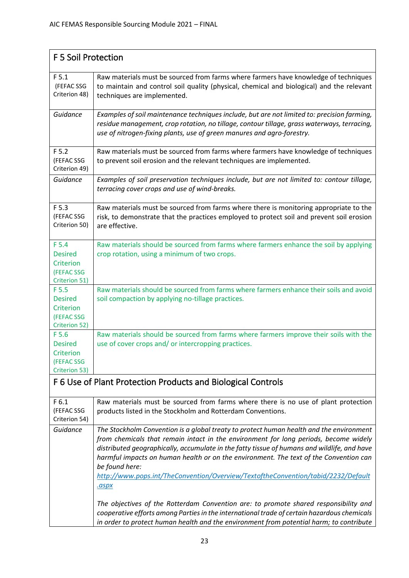<span id="page-24-1"></span><span id="page-24-0"></span>

| <b>F 5 Soil Protection</b>                                                 |                                                                                                                                                                                                                                                                                                                                                                                                                                                                                         |
|----------------------------------------------------------------------------|-----------------------------------------------------------------------------------------------------------------------------------------------------------------------------------------------------------------------------------------------------------------------------------------------------------------------------------------------------------------------------------------------------------------------------------------------------------------------------------------|
| F 5.1<br>(FEFAC SSG<br>Criterion 48)                                       | Raw materials must be sourced from farms where farmers have knowledge of techniques<br>to maintain and control soil quality (physical, chemical and biological) and the relevant<br>techniques are implemented.                                                                                                                                                                                                                                                                         |
| Guidance                                                                   | Examples of soil maintenance techniques include, but are not limited to: precision farming,<br>residue management, crop rotation, no tillage, contour tillage, grass waterways, terracing,<br>use of nitrogen-fixing plants, use of green manures and agro-forestry.                                                                                                                                                                                                                    |
| F 5.2<br>(FEFAC SSG<br>Criterion 49)                                       | Raw materials must be sourced from farms where farmers have knowledge of techniques<br>to prevent soil erosion and the relevant techniques are implemented.                                                                                                                                                                                                                                                                                                                             |
| Guidance                                                                   | Examples of soil preservation techniques include, but are not limited to: contour tillage,<br>terracing cover crops and use of wind-breaks.                                                                                                                                                                                                                                                                                                                                             |
| F 5.3<br>(FEFAC SSG<br>Criterion 50)                                       | Raw materials must be sourced from farms where there is monitoring appropriate to the<br>risk, to demonstrate that the practices employed to protect soil and prevent soil erosion<br>are effective.                                                                                                                                                                                                                                                                                    |
| F 5.4<br><b>Desired</b><br>Criterion<br>(FEFAC SSG<br>Criterion 51)        | Raw materials should be sourced from farms where farmers enhance the soil by applying<br>crop rotation, using a minimum of two crops.                                                                                                                                                                                                                                                                                                                                                   |
| F 5.5<br><b>Desired</b><br>Criterion<br>(FEFAC SSG<br>Criterion 52)        | Raw materials should be sourced from farms where farmers enhance their soils and avoid<br>soil compaction by applying no-tillage practices.                                                                                                                                                                                                                                                                                                                                             |
| F 5.6<br><b>Desired</b><br>Criterion<br><b>(FEFAC SSG</b><br>Criterion 53) | Raw materials should be sourced from farms where farmers improve their soils with the<br>use of cover crops and/or intercropping practices.                                                                                                                                                                                                                                                                                                                                             |
|                                                                            | F 6 Use of Plant Protection Products and Biological Controls                                                                                                                                                                                                                                                                                                                                                                                                                            |
| F 6.1<br>(FEFAC SSG<br>Criterion 54)                                       | Raw materials must be sourced from farms where there is no use of plant protection<br>products listed in the Stockholm and Rotterdam Conventions.                                                                                                                                                                                                                                                                                                                                       |
| Guidance                                                                   | The Stockholm Convention is a global treaty to protect human health and the environment<br>from chemicals that remain intact in the environment for long periods, become widely<br>distributed geographically, accumulate in the fatty tissue of humans and wildlife, and have<br>harmful impacts on human health or on the environment. The text of the Convention can<br>be found here:<br>http://www.pops.int/TheConvention/Overview/TextoftheConvention/tabid/2232/Default<br>.aspx |
|                                                                            | The objectives of the Rotterdam Convention are: to promote shared responsibility and<br>cooperative efforts among Parties in the international trade of certain hazardous chemicals<br>in order to protect human health and the environment from potential harm; to contribute                                                                                                                                                                                                          |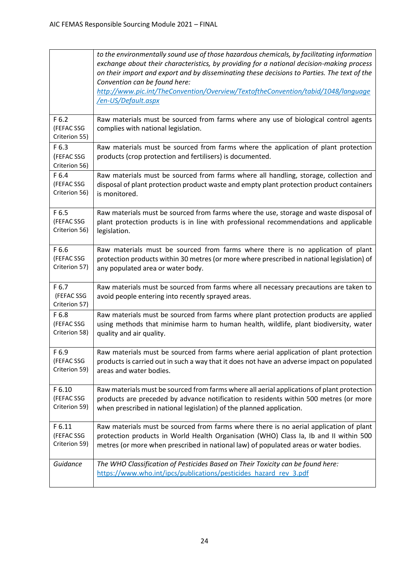|                                      | to the environmentally sound use of those hazardous chemicals, by facilitating information<br>exchange about their characteristics, by providing for a national decision-making process<br>on their import and export and by disseminating these decisions to Parties. The text of the<br>Convention can be found here:<br>http://www.pic.int/TheConvention/Overview/TextoftheConvention/tabid/1048/lanquage<br>/en-US/Default.aspx |
|--------------------------------------|-------------------------------------------------------------------------------------------------------------------------------------------------------------------------------------------------------------------------------------------------------------------------------------------------------------------------------------------------------------------------------------------------------------------------------------|
| F 6.2<br>(FEFAC SSG<br>Criterion 55) | Raw materials must be sourced from farms where any use of biological control agents<br>complies with national legislation.                                                                                                                                                                                                                                                                                                          |
| F 6.3<br>(FEFAC SSG<br>Criterion 56) | Raw materials must be sourced from farms where the application of plant protection<br>products (crop protection and fertilisers) is documented.                                                                                                                                                                                                                                                                                     |
| F 6.4                                | Raw materials must be sourced from farms where all handling, storage, collection and                                                                                                                                                                                                                                                                                                                                                |
| (FEFAC SSG                           | disposal of plant protection product waste and empty plant protection product containers                                                                                                                                                                                                                                                                                                                                            |
| Criterion 56)                        | is monitored.                                                                                                                                                                                                                                                                                                                                                                                                                       |
| F 6.5                                | Raw materials must be sourced from farms where the use, storage and waste disposal of                                                                                                                                                                                                                                                                                                                                               |
| (FEFAC SSG                           | plant protection products is in line with professional recommendations and applicable                                                                                                                                                                                                                                                                                                                                               |
| Criterion 56)                        | legislation.                                                                                                                                                                                                                                                                                                                                                                                                                        |
| F 6.6                                | Raw materials must be sourced from farms where there is no application of plant                                                                                                                                                                                                                                                                                                                                                     |
| (FEFAC SSG                           | protection products within 30 metres (or more where prescribed in national legislation) of                                                                                                                                                                                                                                                                                                                                          |
| Criterion 57)                        | any populated area or water body.                                                                                                                                                                                                                                                                                                                                                                                                   |
| F 6.7<br>(FEFAC SSG<br>Criterion 57) | Raw materials must be sourced from farms where all necessary precautions are taken to<br>avoid people entering into recently sprayed areas.                                                                                                                                                                                                                                                                                         |
| F 6.8                                | Raw materials must be sourced from farms where plant protection products are applied                                                                                                                                                                                                                                                                                                                                                |
| (FEFAC SSG                           | using methods that minimise harm to human health, wildlife, plant biodiversity, water                                                                                                                                                                                                                                                                                                                                               |
| Criterion 58)                        | quality and air quality.                                                                                                                                                                                                                                                                                                                                                                                                            |
| F 6.9                                | Raw materials must be sourced from farms where aerial application of plant protection                                                                                                                                                                                                                                                                                                                                               |
| (FEFAC SSG                           | products is carried out in such a way that it does not have an adverse impact on populated                                                                                                                                                                                                                                                                                                                                          |
| Criterion 59)                        | areas and water bodies.                                                                                                                                                                                                                                                                                                                                                                                                             |
| F 6.10                               | Raw materials must be sourced from farms where all aerial applications of plant protection                                                                                                                                                                                                                                                                                                                                          |
| (FEFAC SSG                           | products are preceded by advance notification to residents within 500 metres (or more                                                                                                                                                                                                                                                                                                                                               |
| Criterion 59)                        | when prescribed in national legislation) of the planned application.                                                                                                                                                                                                                                                                                                                                                                |
| F 6.11                               | Raw materials must be sourced from farms where there is no aerial application of plant                                                                                                                                                                                                                                                                                                                                              |
| (FEFAC SSG                           | protection products in World Health Organisation (WHO) Class Ia, Ib and II within 500                                                                                                                                                                                                                                                                                                                                               |
| Criterion 59)                        | metres (or more when prescribed in national law) of populated areas or water bodies.                                                                                                                                                                                                                                                                                                                                                |
| Guidance                             | The WHO Classification of Pesticides Based on Their Toxicity can be found here:<br>https://www.who.int/ipcs/publications/pesticides hazard rev 3.pdf                                                                                                                                                                                                                                                                                |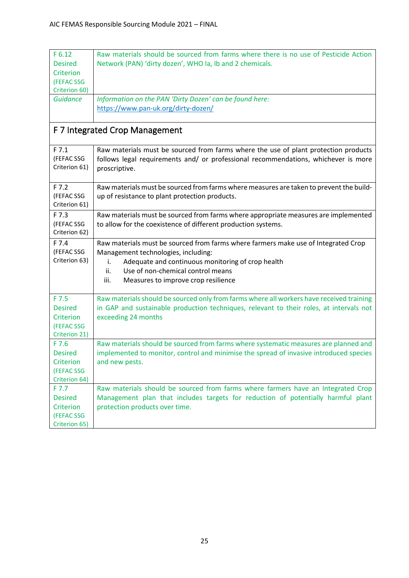<span id="page-26-0"></span>

| F 6.12<br><b>Desired</b><br>Criterion<br>(FEFAC SSG<br>Criterion 60)       | Raw materials should be sourced from farms where there is no use of Pesticide Action<br>Network (PAN) 'dirty dozen', WHO Ia, Ib and 2 chemicals.                                                                                                                                |
|----------------------------------------------------------------------------|---------------------------------------------------------------------------------------------------------------------------------------------------------------------------------------------------------------------------------------------------------------------------------|
| <b>Guidance</b>                                                            | Information on the PAN 'Dirty Dozen' can be found here:<br>https://www.pan-uk.org/dirty-dozen/                                                                                                                                                                                  |
|                                                                            | F 7 Integrated Crop Management                                                                                                                                                                                                                                                  |
| $F$ 7.1<br>(FEFAC SSG<br>Criterion 61)                                     | Raw materials must be sourced from farms where the use of plant protection products<br>follows legal requirements and/ or professional recommendations, whichever is more<br>proscriptive.                                                                                      |
| F 7.2<br>(FEFAC SSG<br>Criterion 61)                                       | Raw materials must be sourced from farms where measures are taken to prevent the build-<br>up of resistance to plant protection products.                                                                                                                                       |
| F 7.3<br>(FEFAC SSG<br>Criterion 62)                                       | Raw materials must be sourced from farms where appropriate measures are implemented<br>to allow for the coexistence of different production systems.                                                                                                                            |
| F 7.4<br>(FEFAC SSG<br>Criterion 63)                                       | Raw materials must be sourced from farms where farmers make use of Integrated Crop<br>Management technologies, including:<br>Adequate and continuous monitoring of crop health<br>i.<br>Use of non-chemical control means<br>ii.<br>Measures to improve crop resilience<br>iii. |
| F 7.5<br><b>Desired</b><br>Criterion<br>(FEFAC SSG<br>Criterion 21)        | Raw materials should be sourced only from farms where all workers have received training<br>in GAP and sustainable production techniques, relevant to their roles, at intervals not<br>exceeding 24 months                                                                      |
| F 7.6<br><b>Desired</b><br>Criterion<br>(FEFAC SSG<br>Criterion 64)        | Raw materials should be sourced from farms where systematic measures are planned and<br>implemented to monitor, control and minimise the spread of invasive introduced species<br>and new pests.                                                                                |
| F 7.7<br><b>Desired</b><br>Criterion<br><b>(FEFAC SSG</b><br>Criterion 65) | Raw materials should be sourced from farms where farmers have an Integrated Crop<br>Management plan that includes targets for reduction of potentially harmful plant<br>protection products over time.                                                                          |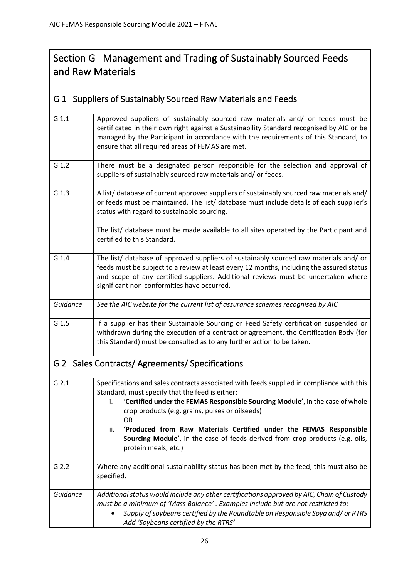## <span id="page-27-0"></span>Section G Management and Trading of Sustainably Sourced Feeds and Raw Materials

## <span id="page-27-1"></span>G 1 Suppliers of Sustainably Sourced Raw Materials and Feeds

<span id="page-27-2"></span>

| $G$ 1.1  | Approved suppliers of sustainably sourced raw materials and/ or feeds must be<br>certificated in their own right against a Sustainability Standard recognised by AIC or be<br>managed by the Participant in accordance with the requirements of this Standard, to<br>ensure that all required areas of FEMAS are met.                                                                                                                                                              |
|----------|------------------------------------------------------------------------------------------------------------------------------------------------------------------------------------------------------------------------------------------------------------------------------------------------------------------------------------------------------------------------------------------------------------------------------------------------------------------------------------|
| $G$ 1.2  | There must be a designated person responsible for the selection and approval of<br>suppliers of sustainably sourced raw materials and/ or feeds.                                                                                                                                                                                                                                                                                                                                   |
| G 1.3    | A list/ database of current approved suppliers of sustainably sourced raw materials and/<br>or feeds must be maintained. The list/ database must include details of each supplier's<br>status with regard to sustainable sourcing.                                                                                                                                                                                                                                                 |
|          | The list/ database must be made available to all sites operated by the Participant and<br>certified to this Standard.                                                                                                                                                                                                                                                                                                                                                              |
| $G$ 1.4  | The list/ database of approved suppliers of sustainably sourced raw materials and/ or<br>feeds must be subject to a review at least every 12 months, including the assured status<br>and scope of any certified suppliers. Additional reviews must be undertaken where<br>significant non-conformities have occurred.                                                                                                                                                              |
| Guidance | See the AIC website for the current list of assurance schemes recognised by AIC.                                                                                                                                                                                                                                                                                                                                                                                                   |
| G 1.5    | If a supplier has their Sustainable Sourcing or Feed Safety certification suspended or<br>withdrawn during the execution of a contract or agreement, the Certification Body (for<br>this Standard) must be consulted as to any further action to be taken.                                                                                                                                                                                                                         |
|          | G 2 Sales Contracts/Agreements/Specifications                                                                                                                                                                                                                                                                                                                                                                                                                                      |
| $G$ 2.1  | Specifications and sales contracts associated with feeds supplied in compliance with this<br>Standard, must specify that the feed is either:<br>'Certified under the FEMAS Responsible Sourcing Module', in the case of whole<br>i.<br>crop products (e.g. grains, pulses or oilseeds)<br>OR<br>'Produced from Raw Materials Certified under the FEMAS Responsible<br>ii.<br>Sourcing Module', in the case of feeds derived from crop products (e.g. oils,<br>protein meals, etc.) |
| $G$ 2.2  | Where any additional sustainability status has been met by the feed, this must also be<br>specified.                                                                                                                                                                                                                                                                                                                                                                               |
| Guidance | Additional status would include any other certifications approved by AIC, Chain of Custody<br>must be a minimum of 'Mass Balance' . Examples include but are not restricted to:<br>Supply of soybeans certified by the Roundtable on Responsible Soya and/ or RTRS<br>Add 'Soybeans certified by the RTRS'                                                                                                                                                                         |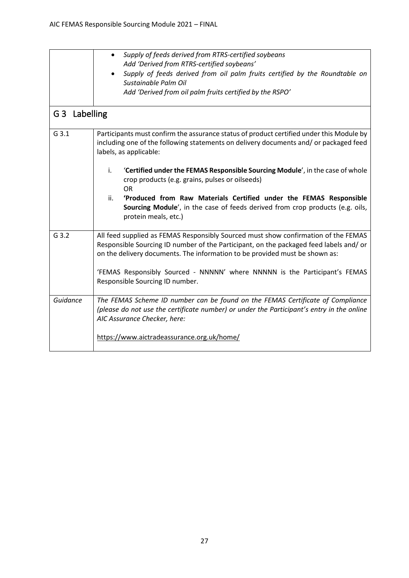<span id="page-28-0"></span>

|               | Supply of feeds derived from RTRS-certified soybeans<br>$\bullet$<br>Add 'Derived from RTRS-certified soybeans'<br>Supply of feeds derived from oil palm fruits certified by the Roundtable on<br>Sustainable Palm Oil<br>Add 'Derived from oil palm fruits certified by the RSPO' |
|---------------|------------------------------------------------------------------------------------------------------------------------------------------------------------------------------------------------------------------------------------------------------------------------------------|
| G 3 Labelling |                                                                                                                                                                                                                                                                                    |
| $G$ 3.1       | Participants must confirm the assurance status of product certified under this Module by<br>including one of the following statements on delivery documents and/ or packaged feed<br>labels, as applicable:                                                                        |
|               | 'Certified under the FEMAS Responsible Sourcing Module', in the case of whole<br>i.<br>crop products (e.g. grains, pulses or oilseeds)<br><b>OR</b>                                                                                                                                |
|               | 'Produced from Raw Materials Certified under the FEMAS Responsible<br>ii.<br>Sourcing Module', in the case of feeds derived from crop products (e.g. oils,<br>protein meals, etc.)                                                                                                 |
| G 3.2         | All feed supplied as FEMAS Responsibly Sourced must show confirmation of the FEMAS<br>Responsible Sourcing ID number of the Participant, on the packaged feed labels and/ or<br>on the delivery documents. The information to be provided must be shown as:                        |
|               | 'FEMAS Responsibly Sourced - NNNNN' where NNNNN is the Participant's FEMAS<br>Responsible Sourcing ID number.                                                                                                                                                                      |
| Guidance      | The FEMAS Scheme ID number can be found on the FEMAS Certificate of Compliance<br>(please do not use the certificate number) or under the Participant's entry in the online<br>AIC Assurance Checker, here:                                                                        |
|               | https://www.aictradeassurance.org.uk/home/                                                                                                                                                                                                                                         |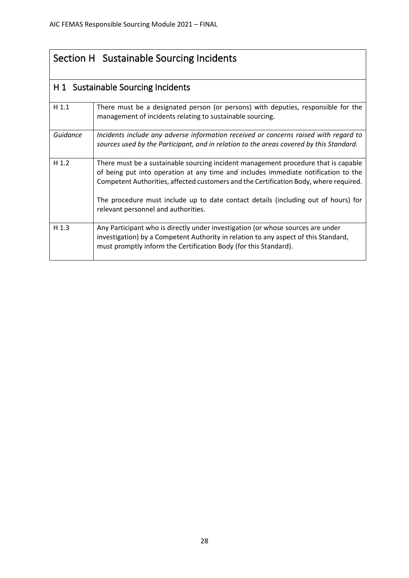# <span id="page-29-0"></span>Section H Sustainable Sourcing Incidents

## <span id="page-29-1"></span>H 1 Sustainable Sourcing Incidents

| $H$ 1.1          | There must be a designated person (or persons) with deputies, responsible for the<br>management of incidents relating to sustainable sourcing.                                                                                                                                                                                                          |
|------------------|---------------------------------------------------------------------------------------------------------------------------------------------------------------------------------------------------------------------------------------------------------------------------------------------------------------------------------------------------------|
| Guidance         | Incidents include any adverse information received or concerns raised with regard to<br>sources used by the Participant, and in relation to the areas covered by this Standard.                                                                                                                                                                         |
| H <sub>1.2</sub> | There must be a sustainable sourcing incident management procedure that is capable<br>of being put into operation at any time and includes immediate notification to the<br>Competent Authorities, affected customers and the Certification Body, where required.<br>The procedure must include up to date contact details (including out of hours) for |
|                  | relevant personnel and authorities.                                                                                                                                                                                                                                                                                                                     |
| H <sub>1.3</sub> | Any Participant who is directly under investigation (or whose sources are under<br>investigation) by a Competent Authority in relation to any aspect of this Standard,<br>must promptly inform the Certification Body (for this Standard).                                                                                                              |